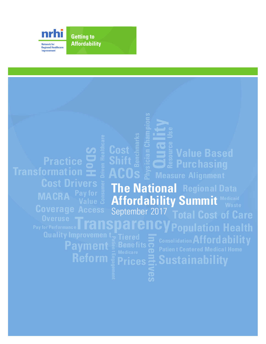

**Getting to Affordability** 

# **Cost Shift Benchmarks ACOs**

**Phys ician Champion Resource Us Value Based Purchasing**<br> **Purchasing**<br> **Purchasing** 

**The National Regional Data Affordability Summit** September 2017 **Transparency Total Cost of Care**

**y**

**Payment Reform**

**SDoH**

**Cost Drive** 

**Practice**

**Transformation**

**MACRA**

**Incentives Tiered Benefits Prices**

**Affordability Consolidation Sustainability**

**Population Health**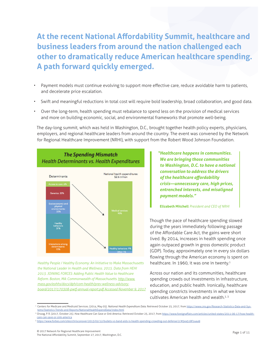# **At the recent National Affordability Summit, healthcare and business leaders from around the nation challenged each other to dramatically reduce American healthcare spending. A path forward quickly emerged.**

- Payment models must continue evolving to support more effective care, reduce avoidable harm to patients, and decelerate price escalation.
- Swift and meaningful reductions in total cost will require bold leadership, broad collaboration, and good data.
- Over the long-term, health spending must rebalance to spend less on the provision of medical services and more on building economic, social, and environmental frameworks that promote well-being.

The day-long summit, which was held in Washington, D.C., brought together health policy experts, physicians, employers, and regional healthcare leaders from around the country. The event was convened by the Network for Regional Healthcare Improvement (NRHI), with support from the Robert Wood Johnson Foundation.



*Healthy People / Healthy Economy: An Initiative to Make Massachusetts the National Leader in Health and Wellness. 2015. Data from HEHI 2013. JOINING FORCES: Adding Public Health Value to Healthcare Reform. Boston, MA: Commonwealth of Massachusetts. [http://www.](http://www.mass.gov/eohhs/docs/dph/com-health/prev-wellness-advisory-board/2017/170308-pwtf-annual-report.pdf) [mass.gov/eohhs/docs/dph/com-health/prev-wellness-advisory](http://www.mass.gov/eohhs/docs/dph/com-health/prev-wellness-advisory-board/2017/170308-pwtf-annual-report.pdf)[board/2017/170308-pwtf-annual-report.pdf A](http://www.mass.gov/eohhs/docs/dph/com-health/prev-wellness-advisory-board/2017/170308-pwtf-annual-report.pdf)ccessed November 9, 2017* *"Healthcare happens in communities. We are bringing those communities to Washington, D.C. to have a national conversation to address the drivers of the healthcare affordability crisis—unnecessary care, high prices, entrenched interests, and misaligned payment models."* 

#### **Elizabeth Mitchell** *President and CEO of NRHI*

Though the pace of healthcare spending slowed during the years immediately following passage of the Affordable Care Act, the gains were short lived. By 2014, increases in health spending once again outpaced growth in gross domestic product (GDP). Today, approximately one in every six dollars flowing through the American economy is spent on healthcare. In 1960, it was one in twenty.<sup>1</sup>

Across our nation and its communities, healthcare spending crowds out investments in infrastructure, education, and public health. Ironically, healthcare spending constricts investments in what we know cultivates American health and wealth.<sup>2, 3</sup>

3 <https://www.forbes.com/sites/chrisconover/2013/02/12/bullets-vs-band-aids-is-health-spending-crowding-out-defense/2/#5ea518f144a9>

<sup>1</sup> Centers for Medicare and Medicaid Services. (2014, May 05). *National Health Expenditure Data*. Retrieved October 25, 2017, from [https://www.cms.gov/Research-Statistics-Data-and-Sys](https://www.cms.gov/Research-Statistics-Data-and-Systems/Statistics-Trends-and-Reports/NationalHealthExpendData/index.html)[tems/Statistics-Trends-and-Reports/NationalHealthExpendData/index.html](https://www.cms.gov/Research-Statistics-Data-and-Systems/Statistics-Trends-and-Reports/NationalHealthExpendData/index.html)

<sup>2</sup> Orszag, P. R. (2017, October 25). *How Healthcare Can Save or Sink America*. Retrieved October 25, 2017, from [https://www.foreignaffairs.com/articles/united-states/2011-06-17/how-health](https://www.foreignaffairs.com/articles/united-states/2011-06-17/how-health-care-can-save-or-sink-america)[care-can-save-or-sink-america](https://www.foreignaffairs.com/articles/united-states/2011-06-17/how-health-care-can-save-or-sink-america)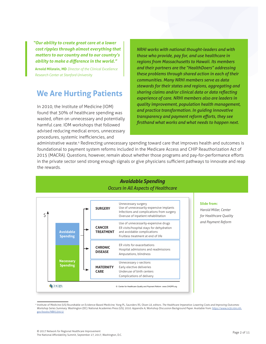*"Our ability to create great care at a lower cost ripples through almost everything that matters to our country and to our country's ability to make a difference in the world."* 

**Arnold Milstein, MD** *Director of the Clinical Excellence Research Center at Stanford University*

## **We Are Hurting Patients**

In 2010, the Institute of Medicine (IOM) found that 30% of healthcare spending was wasted, often on unnecessary and potentially harmful care. IOM workshops that followed advised reducing medical errors, unnecessary procedures, systemic inefficiencies, and

*NRHI works with national thought-leaders and with those who provide, pay for, and use healthcare in regions from Massachusetts to Hawaii. Its members and their partners are the "HealthDoers" addressing these problems through shared action in each of their communities. Many NRHI members serve as data stewards for their states and regions, aggregating and sharing claims and/or clinical data or data reflecting experience of care. NRHI members also are leaders in quality improvement, population health management, and practice transformation. In guiding innovative transparency and payment reform efforts, they see firsthand what works and what needs to happen next.*

administrative waste.<sup>4</sup> Redirecting unnecessary spending toward care that improves health and outcomes is foundational to payment system reforms included in the Medicare Access and CHIP Reauthorization Act of 2015 (MACRA). Questions, however, remain about whether those programs and pay-for-performance efforts in the private sector send strong enough signals or give physicians sufficient pathways to innovate and reap the rewards.



# *Avoidable Spending* Avoidable Spending Occurs

#### **Slide from:**

*Harold Miller, Center for Healthcare Quality and Payment Reform*

<sup>&</sup>lt;sup>4</sup> Institute of Medicine (US) Roundtable on Evidence-Based Medicine; Yong PL, Saunders RS, Olsen LA, editors. The Healthcare Imperative: Lowering Costs and Improving Outcomes: Workshop Series Summary. Washington (DC): National Academies Press (US); 2010. Appendix A, Workshop Discussion Background Paper. Available from: [https://www.ncbi.nlm.nih.](https://www.ncbi.nlm.nih.gov/books/NBK53915/)<br>gov/books/NBK53015/ [gov/books/NBK53915/](https://www.ncbi.nlm.nih.gov/books/NBK53915/)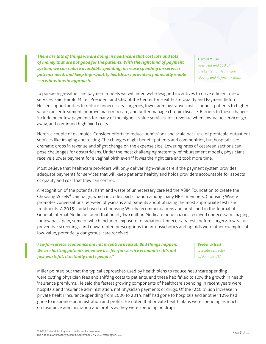*"There are lots of things we are doing in healthcare that cost lots and lots of money that are not good for the patients. With the right kind of payment system, we can reduce avoidable spending, increase spending on services patients need, and keep high-quality healthcare providers financially viable —a win-win-win approach."*

**Harold Miller**

*President and CEO of the Center for Healthcare Quality and Payment Reform*

To pursue high-value care payment models we will need well-designed incentives to drive efficient use of services, said Harold Miller, President and CEO of the Center for Healthcare Quality and Payment Reform. He sees opportunities to reduce unnecessary surgeries, lower administrative costs, connect patients to highervalue cancer treatment, improve maternity care, and better manage chronic disease. Barriers to these changes include no or low payments for many of the highest-value services, lost revenue when low-value services go away, and continued high fixed costs.

Here's a couple of examples. Consider efforts to reduce admissions and scale back use of profitable outpatient services like imaging and testing. The changes might benefit patients and communities, but hospitals see dramatic drops in revenue and slight change on the expense side. Lowering rates of cesarean sections can pose challenges for obstetricians. Under the most challenging maternity reimbursement models, physicians receive a lower payment for a vaginal birth even if it was the right care and took more time.

Most believe that healthcare providers will only deliver high-value care if the payment system provides adequate payments for services that will keep patients healthy and holds providers accountable for aspects of quality and cost that they can control.

A recognition of the potential harm and waste of unnecessary care led the ABIM Foundation to create the Choosing Wisely® campaign, which includes participation among many NRHI members. Choosing Wisely promotes conversations between physicians and patients about utilizing the most appropriate tests and treatments. A 2015 study based on Choosing Wisely recommendations and published in the Journal of General Internal Medicine found that nearly two million Medicare beneficiaries received unnecessary imaging for low back pain, some of which included exposure to radiation. Unnecessary tests before surgery, low-value preventive screenings, and unwarranted prescriptions for anti-psychotics and opioids were other examples of low-value, potentially dangerous, care received.

### *"Fee-for-service economics are not incentive neutral. Bad things happen. We are hurting patients when we use fee-for-service economics. It's not just wasteful. It actually hurts people."*

#### **Frederick Isasi**

*Executive Director of Families USA*

Miller pointed out that the typical approaches used by health plans to reduce healthcare spending were cutting physician fees and shifting costs to patients, and these had failed to slow the growth in health insurance premiums. He said the fastest growing components of healthcare spending in recent years were hospitals and insurance administration, not physician payments or drugs. Of the <sup>\$</sup>240 billion increase in private health insurance spending from 2009 to 2015, half had gone to hospitals and another 12% had gone to insurance administration and profits. He noted that private health plans were spending as much on insurance administration and profits as they were spending on drugs.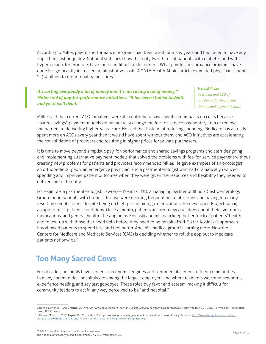According to Miller, pay-for-performance programs had been used for many years and had failed to have any impact on cost or quality. National statistics show that only two-thirds of patients with diabetes and with hypertension, for example, have their conditions under control. What pay-for-performance programs have done is significantly increased administrative costs. A 2016 Health Affairs article estimated physicians spent \$15.4 billion to report quality measures.<sup>5</sup>

### *"It's costing everybody a lot of money and it's not saving a lot of money," Miller said of pay-for-performance initiatives. "It has been studied to death and yet it isn't dead."*

#### **Harold Miller**

*President and CEO of the Center for Healthcare Quality and Payment Reform*

Miller said that current ACO initiatives were also unlikely to have significant impacts on costs because "shared savings" payment models do not actually change the fee-for-service payment system or remove the barriers to delivering higher-value care. He said that instead of reducing spending, Medicare has actually spent more on ACOs every year than it would have spent without them, and ACO initiatives are accelerating the consolidation of providers and resulting in higher prices for private purchasers.

It is time to move beyond simplistic pay-for-performance and shared savings programs and start designing and implementing alternative payment models that solved the problems with fee-for-service payment without creating new problems for patients and providers recommended Miller. He gave examples of an oncologist, an orthopedic surgeon, an emergency physician, and a gastroenterologist who had dramatically reduced spending and improved patient outcomes when they were given the resources and flexibility they needed to deliver care differently.

For example, a gastroenterologist, Lawrence Kosinski, MD, a managing partner of Illinois Gastroenterology Group found patients with Crohn's disease were needing frequent hospitalizations and having too many resulting complications despite being on high-priced biologic medications. He developed Project Sonar, an app to track patients conditions. Once a month, patients answer a few questions about their symptoms, medications, and general health. The app helps Kosinski and his team keep better track of patients' health and follow-up with those that need help before they need to be hospitalized. So far, Kosinski's approach has allowed patients to spend less and feel better. And, his medical group is earning more. Now the Centers for Medicare and Medicaid Services (CMS) is deciding whether to roll the app out to Medicare patients nationwide.<sup>6</sup>

# **Too Many Sacred Cows**

For decades, hospitals have served as economic engines and sentimental centers of their communities. In many communities, hospitals are among the largest employers and where residents welcome newborns, experience healing, and say last goodbyes. These roles buy favor and esteem, making it difficult for community leaders to act in any way perceived to be "anti-hospital."

6 J. Duncan Moore, J. (2017, August 10). *This made-in-Chicago health app soon may go national.* Retrieved from Crain's Chicago Business: [http://www.chicagobusiness.com/arti](http://www.chicagobusiness.com/article/20170810/ISSUE01/170819997/this-made-in-chicago-health-app-soon-may-go-national)[cle/20170810/ISSUE01/170819997/this-made-in-chicago-health-app-soon-may-go-national](http://www.chicagobusiness.com/article/20170810/ISSUE01/170819997/this-made-in-chicago-health-app-soon-may-go-national)

<sup>5</sup> Casalino, Lawrence P. (2016 March), *US Physician Practices Spend More Than \$15.4 Billion Annually To Report Quality Measures*. Health Affairs, VOL. 35, NO. 3 : Physicians, Prescription drugs, ACOS & more.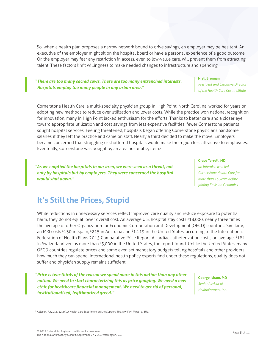So, when a health plan proposes a narrow network bound to drive savings, an employer may be hesitant. An executive of the employer might sit on the hospital board or have a personal experience of a good outcome. Or, the employer may fear any restriction in access, even to low-value care, will prevent them from attracting talent. These factors limit willingness to make needed changes to infrastructure and spending.

### *"There are too many sacred cows. There are too many entrenched interests. Hospitals employ too many people in any urban area."*

### **Niall Brennan** *President and Executive Director of the Health Care Cost Institute*

Cornerstone Health Care, a multi-specialty physician group in High Point, North Carolina, worked for years on adopting new methods to reduce over utilization and lower costs. While the practice won national recognition for innovation, many in High Point lacked enthusiasm for the efforts. Thanks to better care and a closer eye toward appropriate utilization and cost savings from less expensive facilities, fewer Cornerstone patients sought hospital services. Feeling threatened, hospitals began offering Cornerstone physicians handsome salaries if they left the practice and came on staff. Nearly a third decided to make the move. Employers became concerned that struggling or shuttered hospitals would make the region less attractive to employees. Eventually, Cornerstone was bought by an area hospital system.<sup>7</sup>

*"As we emptied the hospitals in our area, we were seen as a threat, not only by hospitals but by employers. They were concerned the hospital would shut down."* 

#### **Grace Terrell, MD**

*an internist, who led Cornerstone Health Care for more than 15 years before joining Envision Genomics*

# **It's Still the Prices, Stupid**

While reductions in unnecessary services reflect improved care quality and reduce exposure to potential harm, they do not equal lower overall cost. An average U.S. hospital stay costs <sup>\$18</sup>,000, nearly three times the average of other Organization for Economic Co-operation and Development (OECD) countries. Similarly, an MRI costs \$130 in Spain, \$215 in Australia and \$1,119 in the United States, according to the International Federation of Health Plans 2015 Comparative Price Report. A cardiac catheterization costs, on average, <sup>\$181</sup> in Switzerland versus more than <sup>\$</sup>5,000 in the United States, the report found. Unlike the United States, many OECD countries regulate prices and some even set mandatory budgets telling hospitals and other providers how much they can spend. International health policy experts find under these regulations, quality does not suffer and physician supply remains sufficient.

*"Price is two-thirds of the reason we spend more in this nation than any other nation. We need to start characterizing this as price gouging. We need a new ethic for healthcare financial management. We need to get rid of personal, institutionalized, legitimatized greed."* 

**George Isham, MD** *Senior Advisor at HealthPartners, Inc.*

<sup>7</sup> Ableson, R. (2016, 12 23). A Health Care Experiment on Life Support. *The New York Times* , p. BU1.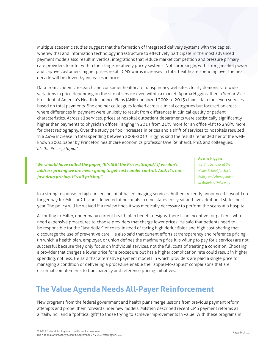Multiple academic studies suggest that the formation of integrated delivery systems with the capital wherewithal and information technology infrastructure to effectively participate in the most advanced payment models also result in vertical integrations that reduce market competition and pressure primary care providers to refer within their large, relatively pricey systems. Not surprisingly, with strong market power and captive customers, higher prices result. CMS warns increases in total healthcare spending over the next decade will be driven by increases in price.

Data from academic research and consumer healthcare transparency websites clearly demonstrate wide variations in price depending on the site of service even within a market. Aparna Higgins, then a Senior Vice President at America's Health Insurance Plans (AHIP), analyzed 2008 to 2013 claims data for seven services based on total payments. She and her colleagues looked across clinical categories but focused on areas where differences in payment were unlikely to result from differences in clinical quality or patient characteristics. Across all services, prices at hospital outpatient departments were statistically significantly higher than payments to physician offices, ranging in 2013 from 21% more for an office visit to 258% more for chest radiography. Over the study period, increases in prices and a shift of services to hospitals resulted in a 44% increase in total spending between 2008-2013. Higgins said the results reminded her of the wellknown 2004 paper by Princeton healthcare economics professor Uwe Reinhardt, PhD, and colleagues, *"It's the Prices, Stupid."*

*"We should have called the paper, 'It's Still the Prices, Stupid.' If we don't address pricing we are never going to get costs under control. And, it's not just drug pricing. It's all pricing."*

#### **Aparna Higgins**

*Visiting Scholar at the Heller School for Social Policy and Management at Brandeis University*

In a strong response to high-priced, hospital-based imaging services, Anthem recently announced it would no longer pay for MRIs or CT scans delivered at hospitals in nine states this year and five additional states next year. The policy will be waived if a review finds it was medically necessary to perform the scans at a hospital.

According to Miller, under many current health plan benefit designs, there is no incentive for patients who need expensive procedures to choose providers that charge lower prices. He said that patients need to be responsible for the "last dollar" of costs, instead of facing high deductibles and high cost-sharing that discourage the use of preventive care. He also said that current efforts at transparency and reference pricing (in which a health plan, employer, or union defines the maximum price it is willing to pay for a service) are not successful because they only focus on individual services, not the full costs of treating a condition. Choosing a provider that charges a lower price for a procedure but has a higher complication rate could result in higher spending, not less. He said that alternative payment models in which providers are paid a single price for managing a condition or delivering a procedure enable the "apples-to-apples" comparisons that are essential complements to transparency and reference pricing initiatives.

# **The Value Agenda Needs All-Payer Reinforcement**

New programs from the federal government and health plans merge lessons from previous payment reform attempts and propel them forward under new models. Milstein described recent CMS payment reforms as a "tailwind" and a "political gift" to those trying to achieve improvements in value. With these programs in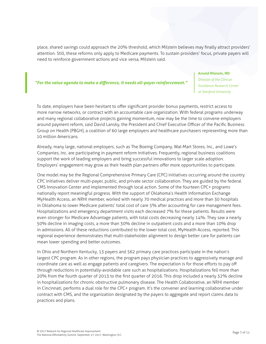place, shared savings could approach the 20% threshold, which Milstein believes may finally attract providers' attention. Still, these reforms only apply to Medicare payments. To sustain providers' focus, private payers will need to reinforce government actions and vice versa, Milstein said.

#### *"For the value agenda to make a difference, it needs all-payer reinforcement."*

#### **Arnold Milstein, MD**

*Director of the Clinical Excellence Research Center at Stanford University*

To date, employers have been hesitant to offer significant provider bonus payments, restrict access to more narrow networks, or contract with an accountable care organization. With federal programs underway and many regional collaborative projects gaining momentum, now may be the time to convene employers around payment reform, said David Lansky, the President and Chief Executive Officer of the Pacific Business Group on Health (PBGH), a coalition of 60 large employers and healthcare purchasers representing more than 10 million Americans.

Already, many large, national employers, such as The Boeing Company, Wal-Mart Stores, Inc., and Lowe's Companies, Inc. are participating in payment reform initiatives. Frequently, regional business coalitions support the work of leading employers and bring successful innovations to larger scale adoption. Employers' engagement may grow as their health plan partners offer more opportunities to participate.

One model may be the Regional Comprehensive Primary Care (CPC) initiatives occurring around the country. CPC initiatives deliver multi-payer, public, and private sector collaboration. They are guided by the federal CMS Innovation Center and implemented through local action. Some of the fourteen CPC+ programs nationally report meaningful progress. With the support of Oklahoma's Health Information Exchange MyHealth Access, an NRHI member, worked with nearly 70 medical practices and more than 30 hospitals in Oklahoma to lower Medicare patients' total cost of care 5% after accounting for care management fees. Hospitalizations and emergency department visits each decreased 7% for these patients. Results were even stronger for Medicare Advantage patients, with total costs decreasing nearly 14%. They saw a nearly 50% decline in imaging costs, a more than 30% decline in outpatient costs and a more than 10% drop in admissions. All of these reductions contributed to the lower total cost, MyHealth Access, reported. This regional experience demonstrates that multi-stakeholder alignment to design better care for patients can mean lower spending and better outcomes.

In Ohio and Northern Kentucky, 13 payers and 562 primary care practices participate in the nation's largest CPC program. As in other regions, the program pays physician practices to aggressively manage and coordinate care as well as engage patients and caregivers. The expectation is for those efforts to pay off through reductions in potentially-avoidable care such as hospitalizations. Hospitalizations fell more than 20% from the fourth quarter of 2013 to the first quarter of 2016. This drop included a nearly 32% decline in hospitalizations for chronic obstructive pulmonary disease. The Health Collaborative, an NRHI member in Cincinnati, performs a dual role for the CPC+ program. It's the convener and learning collaborative under contract with CMS, and the organization designated by the payers to aggregate and report claims data to practices and plans.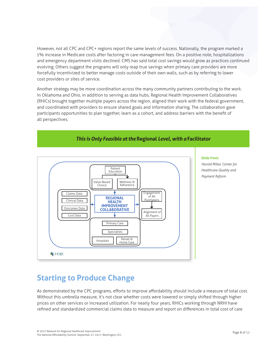However, not all CPC and CPC+ regions report the same levels of success. Nationally, the program marked a 1% increase in Medicare costs after factoring in care management fees. On a positive note, hospitalizations and emergency department visits declined. CMS has said total cost savings would grow as practices continued evolving. Others suggest the programs will only reap true savings when primary care providers are more forcefully incentivized to better manage costs outside of their own walls, such as by referring to lower cost providers or sites of service.

Another strategy may be more coordination across the many community partners contributing to the work. In Oklahoma and Ohio, in addition to serving as data hubs, Regional Health Improvement Collaboratives (RHICs) brought together multiple payers across the region, aligned their work with the federal government, and coordinated with providers to ensure shared goals and information sharing. The collaboration gave participants opportunities to plan together, learn as a cohort, and address barriers with the benefit of all perspectives.



## *This is Only Feasible at the* **Regional** *Level, with a* **Facilitator**

#### **Slide from:**

*Harold Miller, Center for Healthcare Quality and Payment Reform*

### **Starting to Produce Change** •Fruitless treatment at end of life

As demonstrated by the CPC programs, efforts to improve affordability should include a measure of total cost. Without this umbrella measure, it's not clear whether costs were lowered or simply shifted through higher prices on other services or increased utilization. For nearly four years, RHICs working through NRHI have refined and standardized commercial claims data to measure and report on differences in total cost of care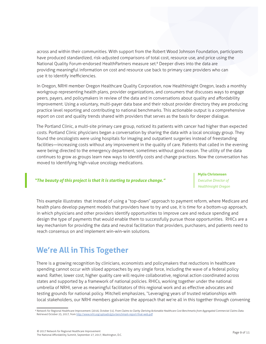across and within their communities. With support from the Robert Wood Johnson Foundation, participants have produced standardized, risk-adjusted comparisons of total cost, resource use, and price using the National Quality Forum-endorsed HealthPartners measure set.<sup>8</sup> Deeper dives into the data are providing meaningful information on cost and resource use back to primary care providers who can use it to identify inefficiencies.

In Oregon, NRHI member Oregon Healthcare Quality Corporation, now HealthInsight Oregon, leads a monthly workgroup representing health plans, provider organizations, and consumers that discusses ways to engage peers, payers, and policymakers in review of the data and in conversations about quality and affordability improvement. Using a voluntary, multi-payer data base and their robust provider directory they are producing practice level reporting and contributing to national benchmarks. This actionable output is a comprehensive report on cost and quality trends shared with providers that serves as the basis for deeper dialogue.

The Portland Clinic, a multi-site primary care group, noticed its patients with cancer had higher than expected costs. Portland Clinic physicians began a conversation by sharing the data with a local oncology group. They found the oncologists were using hospitals for imaging and outpatient surgeries instead of freestanding facilities—increasing costs without any improvement in the quality of care. Patients that called in the evening were being directed to the emergency department, sometimes without good reason. The utility of the data continues to grow as groups learn new ways to identify costs and change practices. Now the conversation has moved to identifying high-value oncology medications.

### *"The beauty of this project is that it is starting to produce change."*

**Mylia Christensen** *Executive Director of HealthInsight Oregon*

This example illustrates that instead of using a "top-down" approach to payment reform, where Medicare and health plans develop payment models that providers have to try and use, it is time for a bottom-up approach, in which physicians and other providers identify opportunities to improve care and reduce spending and design the type of payments that would enable them to successfully pursue those opportunities. RHICs are a key mechanism for providing the data and neutral facilitation that providers, purchasers, and patients need to reach consensus on and implement win-win-win solutions.

# **We're All in This Together**

There is a growing recognition by clinicians, economists and policymakers that reductions in healthcare spending cannot occur with siloed approaches by any single force, including the wave of a federal policy wand. Rather, lower cost, higher quality care will require collaborative, regional action coordinated across states and supported by a framework of national policies. RHICs, working together under the national umbrella of NRHI, serve as meaningful facilitators of this regional work and as effective advocates and testing grounds for national policy. Mitchell emphasizes, "Leveraging years of trusted relationships with local stakeholders, our NRHI members galvanize the approach that we're all in this together through convening

<sup>&</sup>lt;sup>8</sup> Network for Regional Healthcare Improvement. (2016, October 31). *From Claims to Clarity: Deriving Actionable Healthcare Cost Benchmarks from Aggregated Commercial Claims Data.* Retrieved October 25, 2017, from <http://www.nrhi.org/uploads/g2a-benchmark-report-final-web.pdf>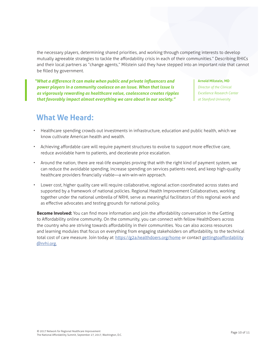the necessary players, determining shared priorities, and working through competing interests to develop mutually agreeable strategies to tackle the affordability crisis in each of their communities." Describing RHICs and their local partners as "change agents," Milstein said they have stepped into an important role that cannot be filled by government.

*"What a difference it can make when public and private influencers and power players in a community coalesce on an issue. When that issue is as vigorously rewarding as healthcare value, coalescence creates ripples that favorably impact almost everything we care about in our society."*

**Arnold Milstein, MD**

*Director of the Clinical Excellence Research Center at Stanford University*

# **What We Heard:**

- Healthcare spending crowds out investments in infrastructure, education and public health, which we know cultivate American health and wealth.
- Achieving affordable care will require payment structures to evolve to support more effective care, reduce avoidable harm to patients, and decelerate price escalation.
- Around the nation, there are real-life examples proving that with the right kind of payment system, we can reduce the avoidable spending, increase spending on services patients need, and keep high-quality healthcare providers financially viable—a win-win-win approach.
- Lower cost, higher quality care will require collaborative, regional action coordinated across states and supported by a framework of national policies. Regional Health Improvement Collaboratives, working together under the national umbrella of NRHI, serve as meaningful facilitators of this regional work and as effective advocates and testing grounds for national policy.

**Become Involved:** You can find more information and join the affordability conversation in the Getting to Affordability online community. On the community, you can connect with fellow HealthDoers across the country who are striving towards affordability in their communities. You can also access resources and learning modules that focus on everything from engaging stakeholders on affordability, to the technical total cost of care measure. Join today at: <https://g2a.healthdoers.org/home> or contact [gettingtoaffordability](mailto:gettingtoaffordability%40nrhi.org?subject=) [@nrhi.org.](mailto:gettingtoaffordability%40nrhi.org?subject=)